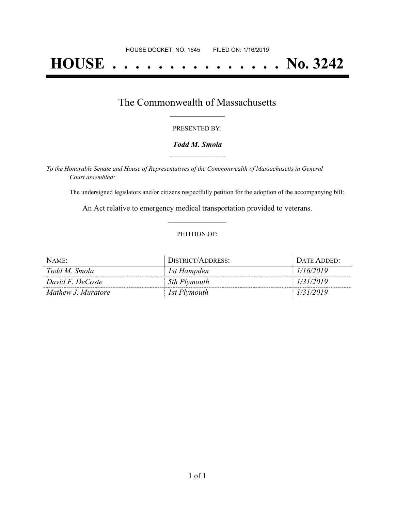# **HOUSE . . . . . . . . . . . . . . . No. 3242**

## The Commonwealth of Massachusetts **\_\_\_\_\_\_\_\_\_\_\_\_\_\_\_\_\_**

#### PRESENTED BY:

#### *Todd M. Smola* **\_\_\_\_\_\_\_\_\_\_\_\_\_\_\_\_\_**

*To the Honorable Senate and House of Representatives of the Commonwealth of Massachusetts in General Court assembled:*

The undersigned legislators and/or citizens respectfully petition for the adoption of the accompanying bill:

An Act relative to emergency medical transportation provided to veterans. **\_\_\_\_\_\_\_\_\_\_\_\_\_\_\_**

#### PETITION OF:

| NAME:              | DISTRICT/ADDRESS: | DATE ADDED: |
|--------------------|-------------------|-------------|
| Todd M. Smola      | 1st Hampden       | 1/16/2019   |
| David F. DeCoste   | 5th Plymouth      | 1/31/2019   |
| Mathew J. Muratore | 1st Plymouth      | 1/31/2019   |